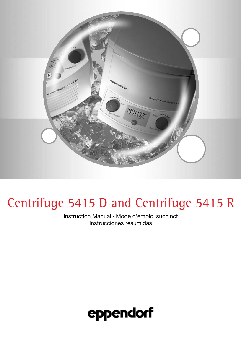

# Centrifuge 5415 D and Centrifuge 5415 R

Instruction Manual · Mode d'emploi succinct Instrucciones resumidas

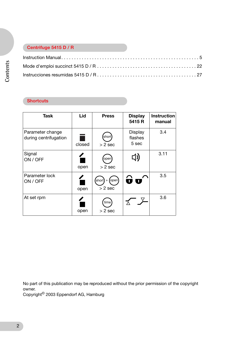### **Centrifuge 5415 D / R**

## **Shortcuts**

| <b>Task</b>                               | Lid    | <b>Press</b>                       | <b>Display</b><br>5415 R    | <b>Instruction</b><br>manual |
|-------------------------------------------|--------|------------------------------------|-----------------------------|------------------------------|
| Parameter change<br>during centrifugation | closed | shorl<br>$> 2$ sec                 | Display<br>flashes<br>5 sec | 3.4                          |
| Signal<br>ON / OFF                        | open   | open<br>$> 2$ sec                  | 口り                          | 3.11                         |
| Parameter lock<br>ON / OFF                | open   | open<br>short)<br>$+$<br>$> 2$ sec |                             | 3.5                          |
| At set rpm                                | open   | time<br>$> 2$ sec                  |                             | 3.6                          |

No part of this publication may be reproduced without the prior permission of the copyright owner.

Copyright© 2003 Eppendorf AG, Hamburg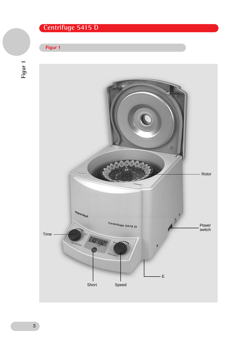## **Centrifuge 5415 D**

### **Figur 1**



 **Figur 1**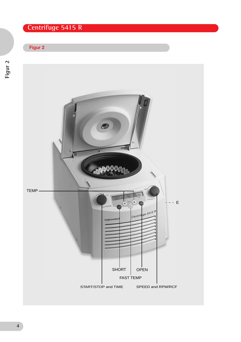# **Centrifuge 5415 R**

## **Figur 2**

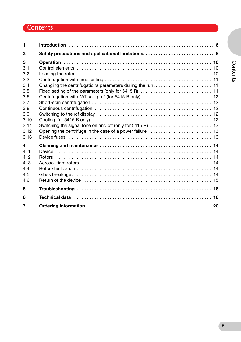## **Contents**

| 1                                                                                                |                                                                                                                                                                                                                                |  |
|--------------------------------------------------------------------------------------------------|--------------------------------------------------------------------------------------------------------------------------------------------------------------------------------------------------------------------------------|--|
| $\mathbf{2}$                                                                                     |                                                                                                                                                                                                                                |  |
| 3<br>3.1<br>3.2<br>3.3<br>3.4<br>3.5<br>3.6<br>3.7<br>3.8<br>3.9<br>3.10<br>3.11<br>3.12<br>3.13 |                                                                                                                                                                                                                                |  |
| 4<br>4.1<br>4.2<br>4.3<br>4.4<br>4.5<br>4.6                                                      |                                                                                                                                                                                                                                |  |
| 5                                                                                                |                                                                                                                                                                                                                                |  |
| 6                                                                                                | Technical data enterpretational control of the data of the set of the set of the set of the set of the set of the set of the set of the set of the set of the set of the set of the set of the set of the set of the set of th |  |
| 7                                                                                                |                                                                                                                                                                                                                                |  |

# Contents **Contents**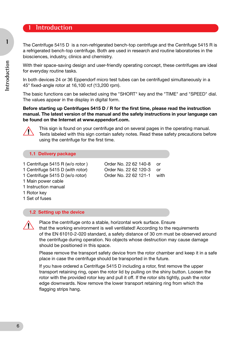## **1 Introduction**

The Centrifuge 5415 D is a non-refrigerated bench-top centrifuge and the Centrifuge 5415 R is a refrigerated bench-top centrifuge. Both are used in research and routine laboratories in the biosciences, industry, clinics and chemistry.

With their space-saving design and user-friendly operating concept, these centrifuges are ideal for everyday routine tasks.

In both devices 24 or 36 Eppendorf micro test tubes can be centrifuged simultaneously in a 45° fixed-angle rotor at 16,100 rcf (13,200 rpm).

The basic functions can be selected using the "SHORT" key and the "TIME" and "SPEED" dial. The values appear in the display in digital form.

#### **Before starting up Centrifuges 5415 D / R for the first time, please read the instruction manual. The latest version of the manual and the safety instructions in your language can be found on the Internet at www.eppendorf.com.**



This sign is found on your centrifuge and on several pages in the operating manual. Texts labeled with this sign contain safety notes. Read these safety precautions before using the centrifuge for the first time.

#### **1.1 Delivery package**

- 1 Centrifuge 5415 R (w/o rotor ) Order No. 22 62 140-8 or
- 1 Centrifuge 5415 D (with rotor) Order No. 22 62 120-3 or
- 1 Centrifuge 5415 D (w/o rotor) Order No. 22 62 121-1 with
- 1 Main power cable
- 1 Instruction manual
- 1 Rotor key
- 1 Set of fuses

#### **1.2 Setting up the device**



Place the centrifuge onto a stable, horizontal work surface. Ensure that the working environment is well ventilated! According to the requirements of the EN 61010-2-020 standard, a safety distance of 30 cm must be observed around the centrifuge during operation. No objects whose destruction may cause damage should be positioned in this space.

Please remove the transport safety device from the rotor chamber and keep it in a safe place in case the centrifuge should be transported in the future.

If you have ordered a Centrifuge 5415 D including a rotor, first remove the upper transport retaining ring, open the rotor lid by pulling on the shiny button. Loosen the rotor with the provided rotor key and pull it off. If the rotor sits tightly, push the rotor edge downwards. Now remove the lower transport retaining ring from which the flagging strips hang.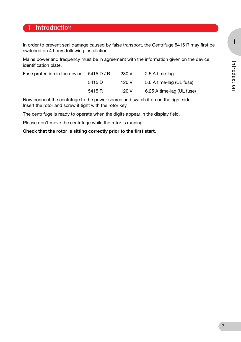**1**

## **1 Introduction**

In order to prevent seal damage caused by false transport, the Centrifuge 5415 R may first be switched on 4 hours following installation.

Mains power and frequency must be in agreement with the information given on the device identification plate.

| Fuse protection in the device: 5415 D / R |        | 230 V | 2.5 A time-lag            |
|-------------------------------------------|--------|-------|---------------------------|
|                                           | 5415 D | 120 V | 5.0 A time-lag (UL fuse)  |
|                                           | 5415 R | 120 V | 6,25 A time-lag (UL fuse) |

Now connect the centrifuge to the power source and switch it on on the right side. Insert the rotor and screw it tight with the rotor key.

The centrifuge is ready to operate when the digits appear in the display field.

Please don't move the centrifuge while the rotor is running.

#### **Check that the rotor is sitting correctly prior to the first start.**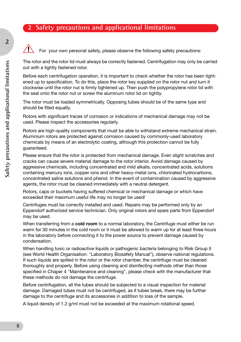## **2 Safety precautions and applicational limitations**



**2**

For your own personal safety, please observe the following safety precautions:

The rotor and the rotor lid must always be correctly fastened. Centrifugation may only be carried out with a tightly fastened rotor.

Before each centrifugation operation, it is important to check whether the rotor has been tightened up to specification. To do this, place the rotor key supplied on the rotor nut and turn it clockwise until the rotor nut is firmly tightened up. Then push the polypropylene rotor lid with the seal onto the rotor nut or screw the aluminum rotor lid on tightly.

The rotor must be loaded symmetrically. Opposing tubes should be of the same type and should be filled equally.

Rotors with significant traces of corrosion or indications of mechanical damage may not be used. Please inspect the accessories regularly.

Rotors are high-quality components that must be able to withstand extreme mechanical strain. Aluminium rotors are protected against corrosion caused by commonly-used laboratory chemicals by means of an electrolytic coating, although this protection cannot be fully guaranteed.

Please ensure that the rotor is protected from mechanical damage. Even slight scratches and cracks can cause severe material damage to the rotor interior. Avoid damage caused by aggressive chemicals, including concentrated and mild alkalis, concentrated acids, solutions containing mercury ions, copper ions and other heavy-metal ions, chlorinated hydrocarbons, concentrated saline solutions and phenol. In the event of contamination caused by aggressive agents, the rotor must be cleaned immediately with a neutral detergent.

Rotors, caps or buckets having suffered chemical or mechanical damage or which have exceeded their maximum useful life may no longer be used!

Centrifuges must be correctly installed and used. Repairs may be performed only by an Eppendorf authorized service technician. Only original rotors and spare parts from Eppendorf may be used.

When transferring from a **cold room** to a normal laboratory, the Centrifuge must either be run warm for 30 minutes in the cold room or it must be allowed to warm up for at least three hours in the laboratory before connecting it to the power source to prevent damage caused by condensation.

When handling toxic or radioactive liquids or pathogenic bacteria belonging to Risk Group II (see World Health Organisation: "Laboratory Biosafety Manual"), observe national regulations. If such liquids are spilled in the rotor or the rotor chamber, the centrifuge must be cleaned thoroughly and properly. Before using cleaning and disinfecting methods other than those specified in Chaper 4 "Maintenance and cleaning", please check with the manufacturer that these methods do not damage the centrifuge.

Before centrifugation, all the tubes should be subjected to a visual inspection for material damage. Damaged tubes must not be centrifuged, as if tubes break, there may be further damage to the centrifuge and its accessories in addition to loss of the sample.

A liquid density of 1.2 g/ml must not be exceeded at the maximum rotational speed.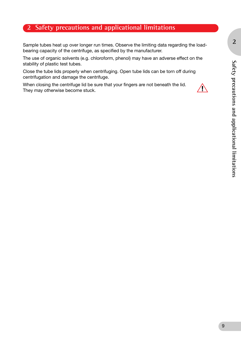## **2 Safety precautions and applicational limitations**

Sample tubes heat up over longer run times. Observe the limiting data regarding the loadbearing capacity of the centrifuge, as specified by the manufacturer.

The use of organic solvents (e.g. chloroform, phenol) may have an adverse effect on the stability of plastic test tubes.

Close the tube lids properly when centrifuging. Open tube lids can be torn off during centrifugation and damage the centrifuge.

When closing the centrifuge lid be sure that your fingers are not beneath the lid. They may otherwise become stuck.

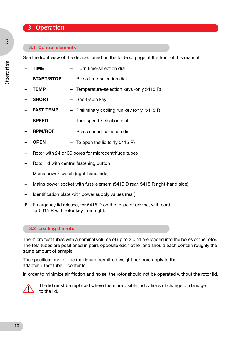## **3 Operation**

#### **3.1 Control elements**

See the front view of the device, found on the fold-out page at the front of this manual:

| <b>TIME</b>       | - Turn time-selection dial                 |
|-------------------|--------------------------------------------|
| <b>START/STOP</b> | - Press time-selection dial                |
| <b>TEMP</b>       | - Temperature-selection keys (only 5415 R) |
| <b>SHORT</b>      | - Short-spin key                           |
| <b>FAST TEMP</b>  | - Preliminary cooling run key (only 5415 R |
| <b>SPEED</b>      | - Turn speed-selection dial                |
| <b>RPM/RCF</b>    | - Press speed-selection dia                |
|                   |                                            |

- **– OPEN** To open the lid (only 5415 R)
- Rotor with 24 or 36 bores for microcentrifuge tubes
- **–** Rotor lid with central fastening button
- **–** Mains power switch (right-hand side)
- **–** Mains power socket with fuse element (5415 D rear, 5415 R right-hand side)
- **–** Identification plate with power supply values (rear)
- **E** Emergency lid release, for 5415 D on the base of device, with cord; for 5415 R with rotor key from right.

#### **3.2 Loading the rotor**

The micro test tubes with a nominal volume of up to 2.0 ml are loaded into the bores of the rotor. The test tubes are positioned in pairs opposite each other and should each contain roughly the same amount of sample.

The specifications for the maximum permitted weight per bore apply to the adapter + test tube + contents.

In order to minimize air friction and noise, the rotor should not be operated without the rotor lid.



The lid must be replaced where there are visible indications of change or damage to the lid.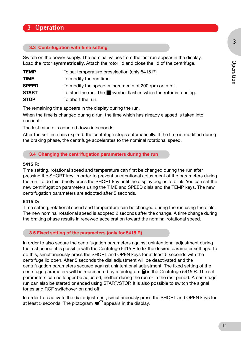**3**

## **3 Operation**

#### **3.3 Centrifugation with time setting**

Switch on the power supply. The nominal values from the last run appear in the display. Load the rotor **symmetrically.** Attach the rotor lid and close the lid of the centrifuge.

| <b>TEMP</b>  | To set temperature preselection (only 5415 R)                                  |
|--------------|--------------------------------------------------------------------------------|
| <b>TIME</b>  | To modify the run time.                                                        |
| <b>SPEED</b> | To modify the speed in increments of 200 rpm or in rcf.                        |
| <b>START</b> | To start the run. The $\blacksquare$ symbol flashes when the rotor is running. |
| <b>STOP</b>  | To abort the run.                                                              |

The remaining time appears in the display during the run.

When the time is changed during a run, the time which has already elapsed is taken into account.

The last minute is counted down in seconds.

After the set time has expired, the centrifuge stops automatically. If the time is modified during the braking phase, the centrifuge accelerates to the nominal rotational speed.

#### **3.4 Changing the centrifugation parameters during the run**

#### **5415 R:**

Time setting, rotational speed and temperature can first be changed during the run after pressing the SHORT key, in order to prevent unintentional adjustment of the parameters during the run. To do this, briefly press the SHORT key until the display begins to blink. You can set the new centrifugation parameters using the TIME and SPEED dials and the TEMP keys. The new centrifugation parameters are adopted after 5 seconds.

#### **5415 D:**

Time setting, rotational speed and temperature can be changed during the run using the dials. The new nominal rotational speed is adopted 2 seconds after the change. A time change during the braking phase results in renewed acceleration toward the nominal rotational speed.

#### **3.5 Fixed setting of the parameters (only for 5415 R)**

In order to also secure the centrifugation parameters against unintentional adjustment during the rest period, it is possible with the Centrifuge 5415 R to fix the desired parameter settings. To do this, simultaneously press the SHORT and OPEN keys for at least 5 seconds with the centrifuge lid open. After 5 seconds the dial adjustment will be deactivated and the centrifugation parameters secured against unintentional adjustment. The fixed setting of the centrifuge parameters will be represented by a pictogram  $\bigoplus$  in the Centrifuge 5415 R. The set parameters can no longer be adjusted, neither during the run or in the rest period. A centrifuge run can also be started or ended using START/STOP. It is also possible to switch the signal tones and RCF switchover on and off.

In order to reactivate the dial adjustment, simultaneously press the SHORT and OPEN keys for at least 5 seconds. The pictogram  $\mathbf{u}'$  appears in the display.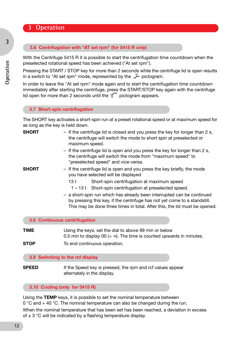## **3 Operation**

#### **3.6 Centrifugation with "AT set rpm" (for 5415 R only)**

With the Centrifuge 5415 R it is possible to start the centrifugation time countdown when the preselected rotational speed has been achieved ("At set rpm").

Pressing the START / STOP key for more than 2 seconds while the centrifuge lid is open results in a switch to "At set rpm" mode, represented by the  $\chi$  pictogram.

In order to leave the "At set rpm" mode again and to start the centrifugation time countdown immediately after starting the centrifuge, press the START/STOP key again with the centrifuge lid open for more than 2 seconds until the  $\leq$  pictogram appears.

#### **3.7 Short-spin centrifugation**

The SHORT key activates a short-spin run at a preset rotational speed or at maximum speed for as long as the key is held down.

| <b>SHORT</b> | - If the centrifuge lid is closed and you press the key for longer than 2 s,<br>the centrifuge will switch the mode to short spin at preselected or<br>maximum speed.                                                             |
|--------------|-----------------------------------------------------------------------------------------------------------------------------------------------------------------------------------------------------------------------------------|
|              | - If the centrifuge lid is open and you press the key for longer than 2 s,<br>the centrifuge will switch the mode from "maximum speed" to<br>"preselected speed" and vice-versa.                                                  |
| SHORT        | - If the centrifuge lid is open and you press the key briefly, the mode<br>you have selected will be displayed                                                                                                                    |
|              | Short-spin centrifugation at maximum speed<br>13 t                                                                                                                                                                                |
|              | 1 – 13 t Short-spin centrifugation at preselected speed.                                                                                                                                                                          |
|              | - a short-spin run which has already been interrupted can be continued<br>by pressing this key, if the centrifuge has not yet come to a standstill.<br>This may be done three times in total. After this, the lid must be opened. |
|              | 3.8 Continuous centrifugation                                                                                                                                                                                                     |
| TIME         | Using the keys, set the dial to above 99 min or below<br>0.5 min to display 00 $(=\infty)$ . The time is counted upwards in minutes.                                                                                              |
| <b>STOP</b>  | To end continuous operation.                                                                                                                                                                                                      |

#### **3.9 Switching to the rcf display**

**SPEED** If the Speed key is pressed, the rpm and rcf values appear alternately in the display.

#### **3.10 Cooling (only for 5415 R)**

Using the **TEMP** keys, it is possible to set the nominal temperature between 0 °C and + 40 °C. The nominal temperature can also be changed during the run. When the nominal temperature that has been set has been reached, a deviation in excess of  $\pm$  3 °C will be indicated by a flashing temperature display.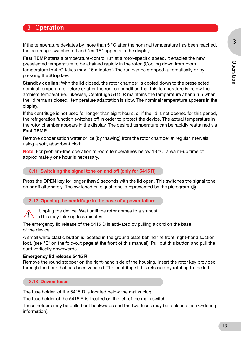**3**

## **3 Operation**

If the temperature deviates by more than 5 °C after the nominal temperature has been reached, the centrifuge switches off and "err 18" appears in the display.

**Fast TEMP** starts a temperature-control run at a rotor-specific speed. It enables the new, preselected temperature to be attained rapidly in the rotor. (Cooling down from room temperature to 4 °C takes max. 16 minutes.) The run can be stopped automatically or by pressing the **Stop** key.

**Standby cooling:** With the lid closed, the rotor chamber is cooled down to the preselected nominal temperature before or after the run, on condition that this temperature is below the ambient temperature. Likewise, Centrifuge 5415 R maintains the temperature after a run when the lid remains closed, temperature adaptation is slow. The nominal temperature appears in the display.

If the centrifuge is not used for longer than eight hours, or if the lid is not opened for this period, the refrigeration function switches off in order to protect the device. The actual temperature in the rotor chamber appears in the display. The desired temperature can be rapidly reattained via **Fast TEMP**.

Remove condensation water or ice (by thawing) from the rotor chamber at regular intervals using a soft, absorbent cloth.

**Note:** For problem-free operation at room temperatures below 18 °C, a warm-up time of approximately one hour is necessary.

#### **3.11 Switching the signal tone on and off (only for 5415 R)**

Press the OPEN key for longer than 2 seconds with the lid open. This switches the signal tone on or off alternately. The switched on signal tone is represented by the pictogram  $\Box$ ).

#### **3.12 Opening the centrifuge in the case of a power failure**



Unplug the device. Wait until the rotor comes to a standstill.

(This may take up to 5 minutes!)

The emergency lid release of the 5415 D is activated by pulling a cord on the base of the device:

A small white plastic button is located in the ground plate behind the front, right-hand suction foot. (see "E" on the fold-out page at the front of this manual). Pull out this button and pull the cord vertically downwards.

#### **Emergency lid release 5415 R:**

Remove the round stopper on the right-hand side of the housing. Insert the rotor key provided through the bore that has been vacated. The centrifuge lid is released by rotating to the left.

#### **3.13 Device fuses**

The fuse holder of the 5415 D is located below the mains plug.

The fuse holder of the 5415 R is located on the left of the main switch.

These holders may be pulled out backwards and the two fuses may be replaced (see Ordering information).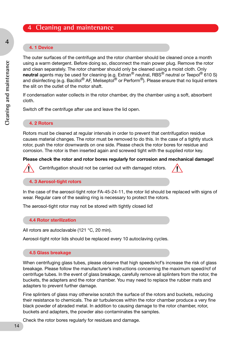## **4 Cleaning and maintenance**

#### **4. 1 Device**

The outer surfaces of the centrifuge and the rotor chamber should be cleaned once a month using a warm detergent. Before doing so, disconnect the main power plug. Remove the rotor and clean separately. The rotor chamber should only be cleaned using a moist cloth. Only **neutral** agents may be used for cleaning (e.g. Extran<sup>®</sup> neutral, RBS<sup>®</sup> neutral or Teepol<sup>®</sup> 610 S) and disinfecting (e.g. Bacillol<sup>®</sup> AF, Meliseptol<sup>®</sup> or Perform<sup>®</sup>). Please ensure that no liquid enters the slit on the outlet of the motor shaft.

If condensation water collects in the rotor chamber, dry the chamber using a soft, absorbent cloth.

Switch off the centrifuge after use and leave the lid open.

#### **4. 2 Rotors**

Rotors must be cleaned at regular intervals in order to prevent that centrifugation residue causes material changes. The rotor must be removed to do this. In the case of a tightly stuck rotor, push the rotor downwards on one side. Please check the rotor bores for residue and corrosion. The rotor is then inserted again and screwed tight with the supplied rotor key.

#### **Please check the rotor and rotor bores regularly for corrosion and mechanical damage!**



Centrifugation should not be carried out with damaged rotors.

#### **4. 3 Aerosol-tight rotors**

In the case of the aerosol-tight rotor FA-45-24-11, the rotor lid should be replaced with signs of wear. Regular care of the sealing ring is necessary to protect the rotors.

The aerosol-tight rotor may not be stored with tightly closed lid!

#### **4.4 Rotor sterilization**

All rotors are autoclavable (121 °C, 20 min).

Aerosol-tight rotor lids should be replaced every 10 autoclaving cycles.

#### **4.5 Glass breakage**

When centrifuging glass tubes, please observe that high speeds/rcf's increase the risk of glass breakage. Please follow the manufacturer's instructions concerning the maximum speed/rcf of centrifuge tubes. In the event of glass breakage, carefully remove all splinters from the rotor, the buckets, the adapters and the rotor chamber. You may need to replace the rubber mats and adapters to prevent further damage.

Fine splinters of glass may otherwise scratch the surface of the rotors and buckets, reducing their resistance to chemicals. The air turbulences within the rotor chamber produce a very fine black powder of abraded metal. In addition to causing damage to the rotor chamber, rotor, buckets and adapters, the powder also contaminates the samples.

Check the rotor bores regularly for residues and damage.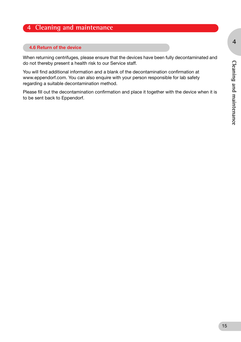## **4 Cleaning and maintenance**

#### **4.6 Return of the device**

When returning centrifuges, please ensure that the devices have been fully decontaminated and do not thereby present a health risk to our Service staff.

You will find additional information and a blank of the decontamination confirmation at www.eppendorf.com. You can also enquire with your person responsible for lab safety regarding a suitable decontamination method.

Please fill out the decontamination confirmation and place it together with the device when it is to be sent back to Eppendorf.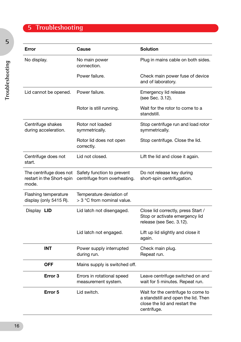# **5 Troubleshooting**

| Error                                                         | Cause                                                      | <b>Solution</b>                                                                                                           |  |
|---------------------------------------------------------------|------------------------------------------------------------|---------------------------------------------------------------------------------------------------------------------------|--|
| No display.                                                   | No main power<br>connection.                               | Plug in mains cable on both sides.                                                                                        |  |
|                                                               | Power failure.                                             | Check main power fuse of device<br>and of laboratory.                                                                     |  |
| Lid cannot be opened.                                         | Power failure.                                             | Emergency lid release<br>(see Sec. 3.12).                                                                                 |  |
|                                                               | Rotor is still running.                                    | Wait for the rotor to come to a<br>standstill.                                                                            |  |
| Centrifuge shakes<br>during acceleration.                     | Rotor not loaded<br>symmetrically.                         | Stop centrifuge run and load rotor<br>symmetrically.                                                                      |  |
|                                                               | Rotor lid does not open<br>correctly.                      | Stop centrifuge. Close the lid.                                                                                           |  |
| Centrifuge does not<br>start.                                 | Lid not closed.                                            | Lift the lid and close it again.                                                                                          |  |
| The centrifuge does not<br>restart in the Short-spin<br>mode. | Safety function to prevent<br>centrifuge from overheating. | Do not release key during<br>short-spin centrifugation.                                                                   |  |
| Flashing temperature<br>display (only 5415 R).                | Temperature deviation of<br>> 3 °C from nominal value.     |                                                                                                                           |  |
| Display LID                                                   | Lid latch not disengaged.                                  | Close lid correctly, press Start /<br>Stop or activate emergency lid<br>release (see Sec. 3.12).                          |  |
|                                                               | Lid latch not engaged.                                     | Lift up lid slightly and close it<br>again.                                                                               |  |
| <b>INT</b>                                                    | Power supply interrupted<br>during run.                    | Check main plug.<br>Repeat run.                                                                                           |  |
| <b>OFF</b>                                                    | Mains supply is switched off.                              |                                                                                                                           |  |
| Error 3                                                       | Errors in rotational speed<br>measurement system.          | Leave centrifuge switched on and<br>wait for 5 minutes. Repeat run.                                                       |  |
| Error 5                                                       | Lid switch.                                                | Wait for the centrifuge to come to<br>a standstill and open the lid. Then<br>close the lid and restart the<br>centrifuge. |  |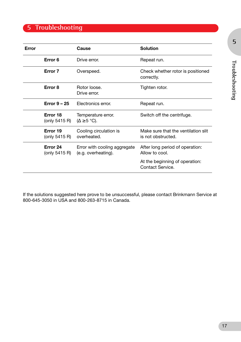## **5 Troubleshooting**

| Error |                             | Cause                                               | <b>Solution</b>                                           |
|-------|-----------------------------|-----------------------------------------------------|-----------------------------------------------------------|
|       | Error 6                     | Drive error.                                        | Repeat run.                                               |
|       | Error 7                     | Overspeed.                                          | Check whether rotor is positioned<br>correctly.           |
|       | Error 8                     | Rotor loose.<br>Drive error.                        | Tighten rotor.                                            |
|       | Error $9 - 25$              | Electronics error.                                  | Repeat run.                                               |
|       | Error 18<br>(only $5415$ R) | Temperature error.<br>$(\Delta \geq 5 \degree C)$ . | Switch off the centrifuge.                                |
|       | Error 19<br>(only $5415$ R) | Cooling circulation is<br>overheated.               | Make sure that the ventilation slit<br>is not obstructed. |
|       | Error 24<br>(only $5415$ R) | Error with cooling aggregate<br>(e.g. overheating). | After long period of operation:<br>Allow to cool.         |
|       |                             |                                                     | At the beginning of operation:<br>Contact Service.        |

If the solutions suggested here prove to be unsuccessful, please contact Brinkmann Service at 800-645-3050 in USA and 800-263-8715 in Canada.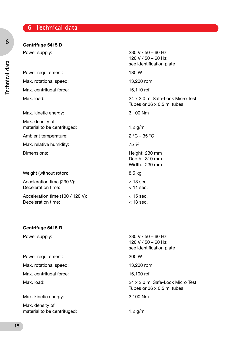## **6 Technical data**

### **Centrifuge 5415 D**

Power requirement: 180 W Max. rotational speed: 13,200 rpm Max. centrifugal force: 16,110 rcf

Max. kinetic energy: 3,100 Nm

Max. density of material to be centrifuged: 1.2 g/ml

Ambient temperature: 2 °C – 35 °C

Max. relative humidity:  $75\%$ 

Weight (without rotor): 8.5 kg

Acceleration time (230 V):  $<$  13 sec. Deceleration time:  $\leq 11$  sec.

Acceleration time (100 / 120 V): < 15 sec. Deceleration time:  $\leq 13 \text{ sec.}$ 

#### **Centrifuge 5415 R**

Power requirement: 300 W

Max. rotational speed: 13,200 rpm

Max. centrifugal force: 16,100 rcf

Max. kinetic energy: 3,100 Nm

Max. density of material to be centrifuged: 1.2 g/ml

Power supply: 230 V / 50 – 60 Hz  $120 V / 50 - 60 Hz$ see identification plate Max. load: 24 x 2.0 ml Safe-Lock Micro Test Tubes or 36 x 0.5 ml tubes Dimensions: Entertainment of the United States and Height: 230 mm Depth: 310 mm Width: 230 mm

Power supply: 230 V / 50 – 60 Hz 120 V / 50 – 60 Hz see identification plate

Max. load: 24 x 2.0 ml Safe-Lock Micro Test Tubes or 36 x 0.5 ml tubes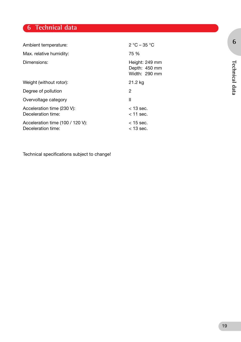## **6 Technical data**

| Ambient temperature:                                   | $2 °C - 35 °C$                                   |
|--------------------------------------------------------|--------------------------------------------------|
| Max. relative humidity:                                | 75 %                                             |
| Dimensions:                                            | Height: 249 mm<br>Depth: 450 mm<br>Width: 290 mm |
| Weight (without rotor):                                | 21.2 kg                                          |
| Degree of pollution                                    | 2                                                |
| Overvoltage category                                   | Ш                                                |
| Acceleration time (230 V):<br>Deceleration time:       | $<$ 13 sec.<br>$<$ 11 sec.                       |
| Acceleration time (100 / 120 V):<br>Deceleration time: | $<$ 15 sec.<br>$<$ 13 sec.                       |

Technical specifications subject to change!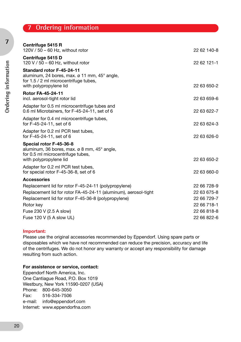## **7 Ordering information**

| Centrifuge 5415 R                                                                                                                                                  |             |
|--------------------------------------------------------------------------------------------------------------------------------------------------------------------|-------------|
| 120V / 50 - 60 Hz, without rotor                                                                                                                                   | 22 62 140-8 |
| Centrifuge 5415 D<br>120 V / 50 - 60 Hz, without rotor                                                                                                             | 22 62 121-1 |
| Standard rotor F-45-24-11<br>aluminum, 24 bores, max. $\varnothing$ 11 mm, 45 $^{\circ}$ angle,<br>for 1.5 / 2 ml microcentrifuge tubes,<br>with polypropylene lid | 22 63 650-2 |
| <b>Rotor FA-45-24-11</b><br>incl. aerosol-tight rotor lid                                                                                                          | 22 63 659-6 |
| Adapter for 0.5 ml microcentrifuge tubes and<br>0.6 ml Microtainers, for F-45-24-11, set of 6                                                                      | 22 63 622-7 |
| Adapter for 0.4 ml microcentrifuge tubes,<br>for F-45-24-11, set of 6                                                                                              | 22 63 624-3 |
| Adapter for 0.2 ml PCR test tubes,<br>for F-45-24-11, set of 6                                                                                                     | 22 63 626-0 |
| Special rotor F-45-36-8<br>aluminum, 36 bores, max. $\varnothing$ 8 mm, 45 $^{\circ}$ angle,<br>for 0.5 ml microcentrifuge tubes,                                  |             |
| with polypropylene lid                                                                                                                                             | 22 63 650-2 |
| Adapter for 0.2 ml PCR test tubes,<br>for special rotor F-45-36-8, set of 6                                                                                        | 22 63 660-0 |
| <b>Accessories</b>                                                                                                                                                 |             |
| Replacement lid for rotor F-45-24-11 (polypropylene)                                                                                                               | 22 66 728-9 |
| Replacement lid for rotor FA-45-24-11 (aluminum), aerosol-tight                                                                                                    | 22 63 675-8 |
| Replacement lid for rotor F-45-36-8 (polypropylene)                                                                                                                | 22 66 729-7 |
| Rotor key                                                                                                                                                          | 22 66 718-1 |
| Fuse 230 V (2.5 A slow)                                                                                                                                            | 22 66 818-8 |
| Fuse 120 V (5 A slow UL)                                                                                                                                           | 22 66 822-6 |

#### **Important:**

Please use the original accessories recommended by Eppendorf. Using spare parts or disposables which we have not recommended can reduce the precision, accuracy and life of the centrifuges. We do not honor any warranty or accept any responsibility for damage resulting from such action.

#### **For assistence or service, contact:**

Eppendorf North America, Inc. One Cantiague Road, P.O. Box 1019 Westbury, New York 11590-0207 (USA) Phone: 800-645-3050 Fax: 516-334-7506 e-mail: info@eppendorf.com Internet: www.eppendorfna.com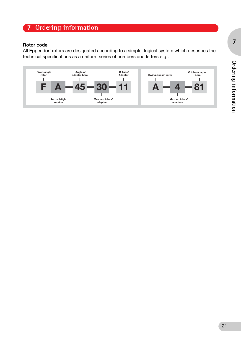## **7 Ordering information**

#### **Rotor code**

All Eppendorf rotors are designated according to a simple, logical system which describes the technical specifications as a uniform series of numbers and letters e.g.:

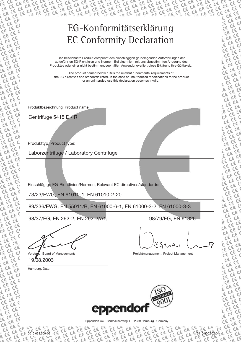# EG-Konformitätserklärung EC Conformity Declaration

Das bezeichnete Produkt entspricht den einschlägigen grundlegenden Anforderungen der aufgeführten EG-Richtlinien und Normen. Bei einer nicht mit uns abgestimmten Änderung des Produktes oder einer nicht bestimmungsgemäßen Anwendungverliert diese Erklärung ihre Gültigkeit.

The product named below fulfills the relevant fundamental requirements of the EC directives and standards listed. In the case of unauthorized modifications to the product or an unintended use this declaration becomes invalid.

Produktbezeichnung, Product name:

Centrifuge 5415 D / R

Produkttyp, Product type:

Laborzentrifuge / Laboratory Centrifuge

Einschlägige EG-Richtlinien/Normen, Relevant EC directives/standards:

73/23/EWG, EN 61010-1, EN 61010-2-20

89/336/EWG, EN 55011/B, EN 61000-6-1, EN 61000-3-2, EN 61000-3-3

98/37/EG, EN 292-2, EN 292-2/A1, 98/79/EG, EN 61326

19.08.2003

Hamburg, Date:

0015 033.509-02

5415 900.302-04

Board of Management: example and a projektmanagement, Project Management:



Eppendorf AG · Barkhausenweg 1 · 22339 Hamburg · Germany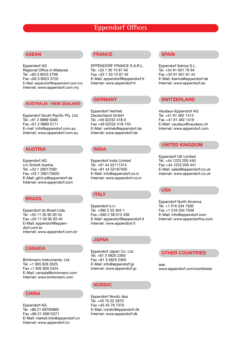## **Eppendorf Offices**

#### **ASEAN**

Eppendorf AG Regional Office in Malaysia Tel. +60 3 8023 2769 Fax +60 3 8023 3720 E-Mail: eppendorf@eppendorf.com.my Internet: www.eppendorf.com.my

#### **AUSTRALIA / NEW ZEALAND**

Eppendorf South Pacific Pty. Ltd. Tel. +61 2 9889 5000 Fax +61 2 9889 5111 E-mail: Info@eppendorf.com.au Internet: www.eppendorf.com.au

#### **AUSTRIA**

Eppendorf AG c/o Schott Austria Tel. +43 1 29017560 Fax +43 1 290175620 E-Mail: gilch.p@eppendorf.de Internet: www.eppendorf.com

#### **BRAZIL**

Eppendorf do Brasil Ltda. Tel. +55 11 30 95 93 44 Fax +55 11 30 95 93 40 E-Mail: eppendorf@eppendorf.com.br Internet: www.eppendorf.com.br

#### **CANADA**

Brinkmann Instruments, Ltd. Tel. +1 905 826 5525 Fax +1 905 826 5424 E-Mail: canada@brinkmann.com Internet: www.brinkmann.com

#### **CHINA**

Eppendorf AG Tel. +86 21 68760880 Fax +86 21 50815371 E-Mail: market.info@eppendorf.cn Internet: www.eppendorf.cn

#### **FRANCE**

EPPENDORF FRANCE S.A.R.L. Tel. +33 1 30 15 67 40 Fax +33 1 30 15 67 45 E-Mail: eppendorf@eppendorf.fr Internet: www.eppendorf.fr

#### **GERMANY**

Eppendorf Vertrieb Deutschland GmbH Tel. +49 02232 418-0 Fax +49 02232 418-155 E-Mail: vertrieb@eppendorf.de Internet: www.eppendorf.de

#### **INDIA**

Eppendorf India Limited Tel. +91 44 52111314 Fax +91 44 52187405 E-Mail: info@eppendorf.co.in Internet: www.eppendorf.co.in

#### **ITALY**

Eppendorf s.r.l. Tel. +390 2 55 404 1 Fax +390 2 58 013 438 E-Mail: eppendorf@eppendorf.it Internet: www.eppendorf.it

#### **JAPAN**

Eppendorf Japan Co. Ltd. Tel. +81 3 5825 2363 Fax +81 3 5825 2365 E-Mail: info@eppendorf.jp Internet: www.eppendorf.jp

#### **NORDIC**

Eppendorf Nordic Aps Tel. +45 70 22 2970 Fax +45 45 76 7370 E-Mail: nordic@eppendorf.dk Internet: www.eppendorf.dk

#### **SPAIN**

Eppendorf Ibérica S.L. Tel. +34 91 651 76 94 Fax +34 91 651 81 44 E-Mail: iberica@eppendorf.de Internet: www.eppendorf.es

#### **SWITZERLAND**

Vaudaux-Eppendorf AG Tel. +41 61 482 1414 Fax +41 61 482 1419 E-Mail: vaudaux@vaudaux.ch Internet: www.eppendorf.com

#### **UNITED KINGDOM**

Eppendorf UK Limited Tel. +44 1223 200 440 Fax +44 1223 200 441 E-Mail: sales@eppendorf.co.uk Internet: www.eppendorf.co.uk

#### **USA**

Eppendorf North America Tel. +1 516 334 7500 Fax +1 516 334 7506 E-Mail: info@eppendorf.com Internet: www.eppendorfna.com

#### **OTHER COUNTRIES**

see: www.eppendorf.com/worldwide